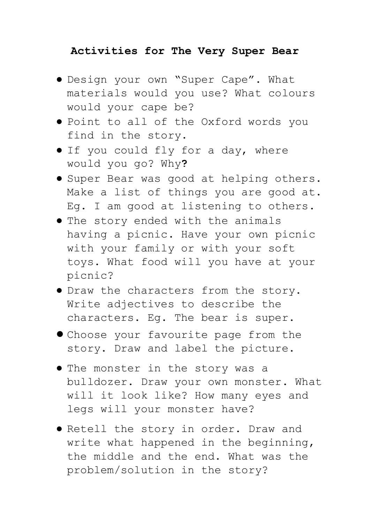## **Activities for The Very Super Bear**

- Design your own "Super Cape". What materials would you use? What colours would your cape be?
- Point to all of the Oxford words you find in the story.
- If you could fly for a day, where would you go? Why**?**
- Super Bear was good at helping others. Make a list of things you are good at. Eg. I am good at listening to others.
- The story ended with the animals having a picnic. Have your own picnic with your family or with your soft toys. What food will you have at your picnic?
- Draw the characters from the story. Write adjectives to describe the characters. Eg. The bear is super.
- Choose your favourite page from the story. Draw and label the picture.
- The monster in the story was a bulldozer. Draw your own monster. What will it look like? How many eyes and legs will your monster have?
- Retell the story in order. Draw and write what happened in the beginning, the middle and the end. What was the problem/solution in the story?